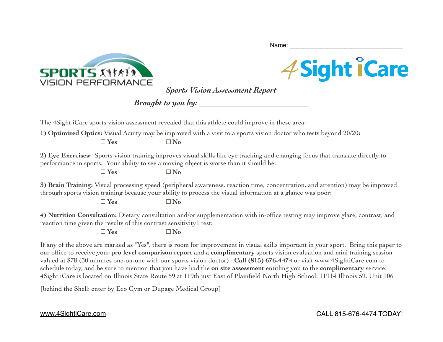



*Sports Vision Assessment Report*

Name:

*Brought to you by: \_\_\_\_\_\_\_\_\_\_\_\_\_\_\_\_\_\_\_\_\_\_\_\_\_\_*

The 4Sight iCare sports vision assessment revealed that this athlete could improve in these area:

**1) Optimized Optics:** Visual Acuity may be improved with a visit to a sports vision doctor who tests beyond 20/20**:**

 $\Box$  Yes  $\Box$  No

**2) Eye Exercises:** Sports vision training improves visual skills like eye tracking and changing focus that translate directly to performance in sports. Your ability to see a moving object is worse than it should be:

 $\Box$  Yes  $\Box$  No

**3) Brain Training:** Visual processing speed (peripheral awareness, reaction time, concentration, and attention) may be improved through sports vision training because your ability to process the visual information at a glance was poor:

 $\Box$  Yes  $\Box$  No

**4) Nutrition Consultation:** Dietary consultation and/or supplementation with in-office testing may improve glare, contrast, and reaction time given the results of this contrast sensitivity1 test:

 $\Box$  Yes  $\Box$  No

If any of the above are marked as "Yes", there is room for improvement in visual skills important in your sport. Bring this paper to our office to receive your **pro level comparison report** and a **complimentary** sports vision evaluation and mini training session valued at \$78 (30 minutes one-on-one with our sports vision doctor). **Call (815) 676-4474** or visit [www.4SightiCare.com](http://www.4SightiCare.com) to schedule today, and be sure to mention that you have had the **on site assessment** entitling you to the **complimentary** service. 4Sight iCare is located on Illinois State Route 59 at 119th just East of Plainfield North High School: 11914 Illinois 59, Unit 106

[behind the Shell: enter by Eco Gym or Dupage Medical Group]